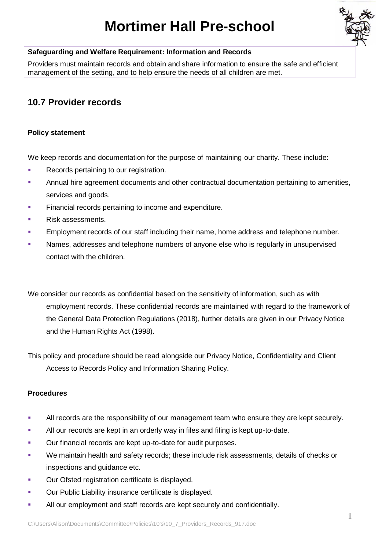# **Mortimer Hall Pre-school**



#### **Safeguarding and Welfare Requirement: Information and Records**

Providers must maintain records and obtain and share information to ensure the safe and efficient management of the setting, and to help ensure the needs of all children are met.

# **10.7 Provider records**

## **Policy statement**

We keep records and documentation for the purpose of maintaining our charity. These include:

- **EXECORDED** Records pertaining to our registration.
- **Annual hire agreement documents and other contractual documentation pertaining to amenities,** services and goods.
- **EXECTE:** Financial records pertaining to income and expenditure.
- Risk assessments.
- **Employment records of our staff including their name, home address and telephone number.**
- Names, addresses and telephone numbers of anyone else who is regularly in unsupervised contact with the children.

We consider our records as confidential based on the sensitivity of information, such as with employment records. These confidential records are maintained with regard to the framework of the General Data Protection Regulations (2018), further details are given in our Privacy Notice and the Human Rights Act (1998).

This policy and procedure should be read alongside our Privacy Notice, Confidentiality and Client Access to Records Policy and Information Sharing Policy.

## **Procedures**

- All records are the responsibility of our management team who ensure they are kept securely.
- **EXECT** All our records are kept in an orderly way in files and filing is kept up-to-date.
- Our financial records are kept up-to-date for audit purposes.
- We maintain health and safety records; these include risk assessments, details of checks or inspections and guidance etc.
- Our Ofsted registration certificate is displayed.
- Our Public Liability insurance certificate is displayed.
- All our employment and staff records are kept securely and confidentially.